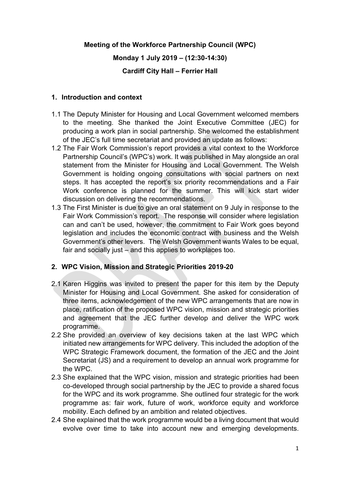# **Meeting of the Workforce Partnership Council (WPC)**

#### **Monday 1 July 2019 – (12:30-14:30)**

#### **Cardiff City Hall – Ferrier Hall**

#### **1. Introduction and context**

- 1.1 The Deputy Minister for Housing and Local Government welcomed members to the meeting. She thanked the Joint Executive Committee (JEC) for producing a work plan in social partnership. She welcomed the establishment of the JEC's full time secretariat and provided an update as follows:
- 1.2 The Fair Work Commission's report provides a vital context to the Workforce Partnership Council's (WPC's) work. It was published in May alongside an oral statement from the Minister for Housing and Local Government. The Welsh Government is holding ongoing consultations with social partners on next steps. It has accepted the report's six priority recommendations and a Fair Work conference is planned for the summer. This will kick start wider discussion on delivering the recommendations.
- 1.3 The First Minister is due to give an oral statement on 9 July in response to the Fair Work Commission's report. The response will consider where legislation can and can't be used, however, the commitment to Fair Work goes beyond legislation and includes the economic contract with business and the Welsh Government's other levers. The Welsh Government wants Wales to be equal, fair and socially just – and this applies to workplaces too.

# **2. WPC Vision, Mission and Strategic Priorities 2019-20**

- 2.1 Karen Higgins was invited to present the paper for this item by the Deputy Minister for Housing and Local Government. She asked for consideration of three items, acknowledgement of the new WPC arrangements that are now in place, ratification of the proposed WPC vision, mission and strategic priorities and agreement that the JEC further develop and deliver the WPC work programme.
- 2.2 She provided an overview of key decisions taken at the last WPC which initiated new arrangements for WPC delivery. This included the adoption of the WPC Strategic Framework document, the formation of the JEC and the Joint Secretariat (JS) and a requirement to develop an annual work programme for the WPC.
- 2.3 She explained that the WPC vision, mission and strategic priorities had been co-developed through social partnership by the JEC to provide a shared focus for the WPC and its work programme. She outlined four strategic for the work programme as: fair work, future of work, workforce equity and workforce mobility. Each defined by an ambition and related objectives.
- 2.4 She explained that the work programme would be a living document that would evolve over time to take into account new and emerging developments.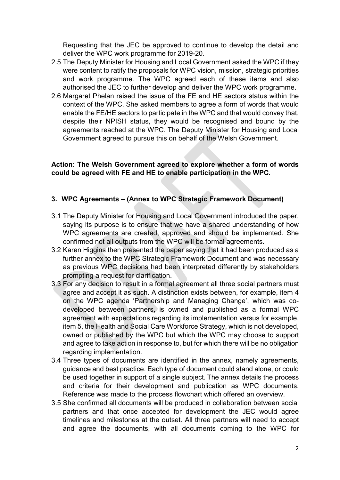Requesting that the JEC be approved to continue to develop the detail and deliver the WPC work programme for 2019-20.

- 2.5 The Deputy Minister for Housing and Local Government asked the WPC if they were content to ratify the proposals for WPC vision, mission, strategic priorities and work programme. The WPC agreed each of these items and also authorised the JEC to further develop and deliver the WPC work programme.
- 2.6 Margaret Phelan raised the issue of the FE and HE sectors status within the context of the WPC. She asked members to agree a form of words that would enable the FE/HE sectors to participate in the WPC and that would convey that, despite their NPISH status, they would be recognised and bound by the agreements reached at the WPC. The Deputy Minister for Housing and Local Government agreed to pursue this on behalf of the Welsh Government.

#### **Action: The Welsh Government agreed to explore whether a form of words could be agreed with FE and HE to enable participation in the WPC.**

# **3. WPC Agreements – (Annex to WPC Strategic Framework Document)**

- 3.1 The Deputy Minister for Housing and Local Government introduced the paper, saying its purpose is to ensure that we have a shared understanding of how WPC agreements are created, approved and should be implemented. She confirmed not all outputs from the WPC will be formal agreements.
- 3.2 Karen Higgins then presented the paper saying that it had been produced as a further annex to the WPC Strategic Framework Document and was necessary as previous WPC decisions had been interpreted differently by stakeholders prompting a request for clarification.
- 3.3 For any decision to result in a formal agreement all three social partners must agree and accept it as such. A distinction exists between, for example, item 4 on the WPC agenda 'Partnership and Managing Change', which was codeveloped between partners, is owned and published as a formal WPC agreement with expectations regarding its implementation versus for example, item 5, the Health and Social Care Workforce Strategy, which is not developed, owned or published by the WPC but which the WPC may choose to support and agree to take action in response to, but for which there will be no obligation regarding implementation.
- 3.4 Three types of documents are identified in the annex, namely agreements, guidance and best practice. Each type of document could stand alone, or could be used together in support of a single subject. The annex details the process and criteria for their development and publication as WPC documents. Reference was made to the process flowchart which offered an overview.
- 3.5 She confirmed all documents will be produced in collaboration between social partners and that once accepted for development the JEC would agree timelines and milestones at the outset. All three partners will need to accept and agree the documents, with all documents coming to the WPC for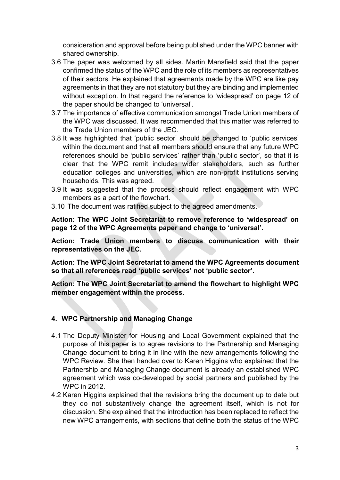consideration and approval before being published under the WPC banner with shared ownership.

- 3.6 The paper was welcomed by all sides. Martin Mansfield said that the paper confirmed the status of the WPC and the role of its members as representatives of their sectors. He explained that agreements made by the WPC are like pay agreements in that they are not statutory but they are binding and implemented without exception. In that regard the reference to 'widespread' on page 12 of the paper should be changed to 'universal'.
- 3.7 The importance of effective communication amongst Trade Union members of the WPC was discussed. It was recommended that this matter was referred to the Trade Union members of the JEC.
- 3.8 It was highlighted that 'public sector' should be changed to 'public services' within the document and that all members should ensure that any future WPC references should be 'public services' rather than 'public sector', so that it is clear that the WPC remit includes wider stakeholders, such as further education colleges and universities, which are non-profit institutions serving households. This was agreed.
- 3.9 It was suggested that the process should reflect engagement with WPC members as a part of the flowchart.
- 3.10 The document was ratified subject to the agreed amendments.

**Action: The WPC Joint Secretariat to remove reference to 'widespread' on page 12 of the WPC Agreements paper and change to 'universal'.** 

**Action: Trade Union members to discuss communication with their representatives on the JEC.**

**Action: The WPC Joint Secretariat to amend the WPC Agreements document so that all references read 'public services' not 'public sector'.**

**Action: The WPC Joint Secretariat to amend the flowchart to highlight WPC member engagement within the process.**

# **4. WPC Partnership and Managing Change**

- 4.1 The Deputy Minister for Housing and Local Government explained that the purpose of this paper is to agree revisions to the Partnership and Managing Change document to bring it in line with the new arrangements following the WPC Review. She then handed over to Karen Higgins who explained that the Partnership and Managing Change document is already an established WPC agreement which was co-developed by social partners and published by the WPC in 2012.
- 4.2 Karen Higgins explained that the revisions bring the document up to date but they do not substantively change the agreement itself, which is not for discussion. She explained that the introduction has been replaced to reflect the new WPC arrangements, with sections that define both the status of the WPC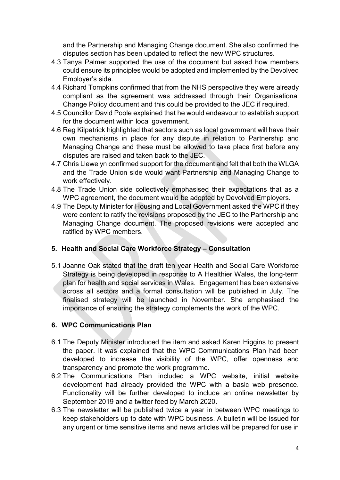and the Partnership and Managing Change document. She also confirmed the disputes section has been updated to reflect the new WPC structures.

- 4.3 Tanya Palmer supported the use of the document but asked how members could ensure its principles would be adopted and implemented by the Devolved Employer's side.
- 4.4 Richard Tompkins confirmed that from the NHS perspective they were already compliant as the agreement was addressed through their Organisational Change Policy document and this could be provided to the JEC if required.
- 4.5 Councillor David Poole explained that he would endeavour to establish support for the document within local government.
- 4.6 Reg Kilpatrick highlighted that sectors such as local government will have their own mechanisms in place for any dispute in relation to Partnership and Managing Change and these must be allowed to take place first before any disputes are raised and taken back to the JEC.
- 4.7 Chris Llewelyn confirmed support for the document and felt that both the WLGA and the Trade Union side would want Partnership and Managing Change to work effectively.
- 4.8 The Trade Union side collectively emphasised their expectations that as a WPC agreement, the document would be adopted by Devolved Employers.
- 4.9 The Deputy Minister for Housing and Local Government asked the WPC if they were content to ratify the revisions proposed by the JEC to the Partnership and Managing Change document. The proposed revisions were accepted and ratified by WPC members.

# **5. Health and Social Care Workforce Strategy – Consultation**

5.1 Joanne Oak stated that the draft ten year Health and Social Care Workforce Strategy is being developed in response to A Healthier Wales, the long-term plan for health and social services in Wales. Engagement has been extensive across all sectors and a formal consultation will be published in July. The finalised strategy will be launched in November. She emphasised the importance of ensuring the strategy complements the work of the WPC.

# **6. WPC Communications Plan**

- 6.1 The Deputy Minister introduced the item and asked Karen Higgins to present the paper. It was explained that the WPC Communications Plan had been developed to increase the visibility of the WPC, offer openness and transparency and promote the work programme.
- 6.2 The Communications Plan included a WPC website, initial website development had already provided the WPC with a basic web presence. Functionality will be further developed to include an online newsletter by September 2019 and a twitter feed by March 2020.
- 6.3 The newsletter will be published twice a year in between WPC meetings to keep stakeholders up to date with WPC business. A bulletin will be issued for any urgent or time sensitive items and news articles will be prepared for use in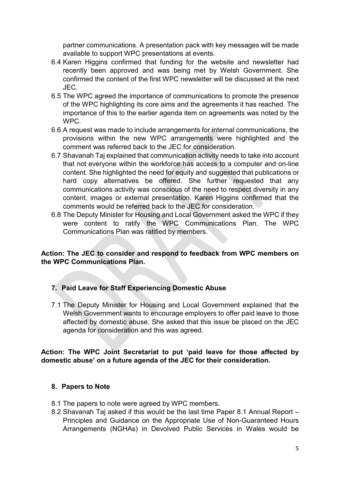partner communications. A presentation pack with key messages will be made available to support WPC presentations at events.

- 6.4 Karen Higgins confirmed that funding for the website and newsletter had recently been approved and was being met by Welsh Government. She confirmed the content of the first WPC newsletter will be discussed at the next JEC.
- 6.5 The WPC agreed the importance of communications to promote the presence of the WPC highlighting its core aims and the agreements it has reached. The importance of this to the earlier agenda item on agreements was noted by the WPC.
- 6.6 A request was made to include arrangements for internal communications, the provisions within the new WPC arrangements were highlighted and the comment was referred back to the JEC for consideration.
- 6.7 Shavanah Taj explained that communication activity needs to take into account that not everyone within the workforce has access to a computer and on-line content. She highlighted the need for equity and suggested that publications or hard copy alternatives be offered. She further requested that any communications activity was conscious of the need to respect diversity in any content, images or external presentation. Karen Higgins confirmed that the comments would be referred back to the JEC for consideration.
- 6.8 The Deputy Minister for Housing and Local Government asked the WPC if they were content to ratify the WPC Communications Plan. The WPC Communications Plan was ratified by members.

# **Action: The JEC to consider and respond to feedback from WPC members on the WPC Communications Plan.**

# **7. Paid Leave for Staff Experiencing Domestic Abuse**

7.1 The Deputy Minister for Housing and Local Government explained that the Welsh Government wants to encourage employers to offer paid leave to those affected by domestic abuse. She asked that this issue be placed on the JEC agenda for consideration and this was agreed.

# **Action: The WPC Joint Secretariat to put 'paid leave for those affected by domestic abuse' on a future agenda of the JEC for their consideration.**

# **8. Papers to Note**

- 8.1 The papers to note were agreed by WPC members.
- 8.2 Shavanah Taj asked if this would be the last time Paper 8.1 Annual Report Principles and Guidance on the Appropriate Use of Non-Guaranteed Hours Arrangements (NGHAs) in Devolved Public Services in Wales would be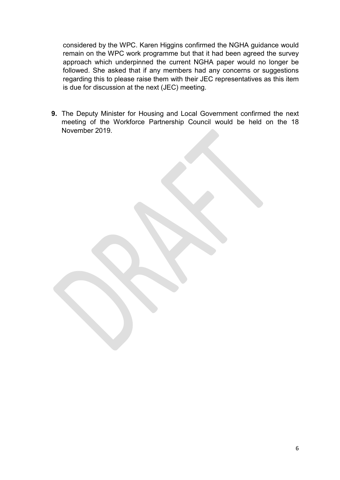considered by the WPC. Karen Higgins confirmed the NGHA guidance would remain on the WPC work programme but that it had been agreed the survey approach which underpinned the current NGHA paper would no longer be followed. She asked that if any members had any concerns or suggestions regarding this to please raise them with their JEC representatives as this item is due for discussion at the next (JEC) meeting.

**9.** The Deputy Minister for Housing and Local Government confirmed the next meeting of the Workforce Partnership Council would be held on the 18 November 2019.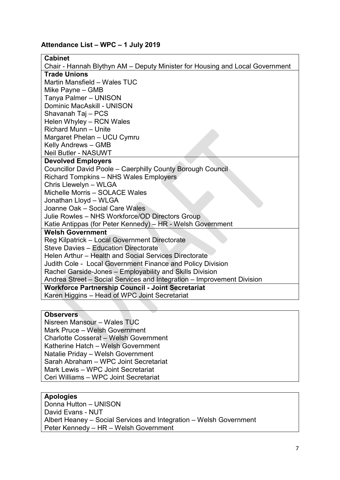#### **Attendance List – WPC – 1 July 2019**

#### **Cabinet**  Chair - Hannah Blythyn AM – Deputy Minister for Housing and Local Government **Trade Unions** Martin Mansfield – Wales TUC Mike Payne – GMB Tanya Palmer – UNISON Dominic MacAskill - UNISON Shavanah Taj – PCS Helen Whyley – RCN Wales Richard Munn – Unite Margaret Phelan – UCU Cymru Kelly Andrews – GMB Neil Butler - NASUWT **Devolved Employers** Councillor David Poole – Caerphilly County Borough Council Richard Tompkins – NHS Wales Employers Chris Llewelyn – WLGA Michelle Morris – SOLACE Wales Jonathan Lloyd – WLGA Joanne Oak – Social Care Wales Julie Rowles – NHS Workforce/OD Directors Group Katie Antippas (for Peter Kennedy) – HR - Welsh Government **Welsh Government** Reg Kilpatrick – Local Government Directorate Steve Davies – Education Directorate Helen Arthur – Health and Social Services Directorate Judith Cole - Local Government Finance and Policy Division Rachel Garside-Jones – Employability and Skills Division Andrea Street – Social Services and Integration – Improvement Division **Workforce Partnership Council - Joint Secretariat** Karen Higgins – Head of WPC Joint Secretariat

#### **Observers**

Nisreen Mansour – Wales TUC Mark Pruce – Welsh Government Charlotte Cosserat – Welsh Government Katherine Hatch – Welsh Government Natalie Priday – Welsh Government Sarah Abraham – WPC Joint Secretariat Mark Lewis – WPC Joint Secretariat Ceri Williams – WPC Joint Secretariat

#### **Apologies**

Donna Hutton – UNISON David Evans - NUT Albert Heaney – Social Services and Integration – Welsh Government Peter Kennedy – HR – Welsh Government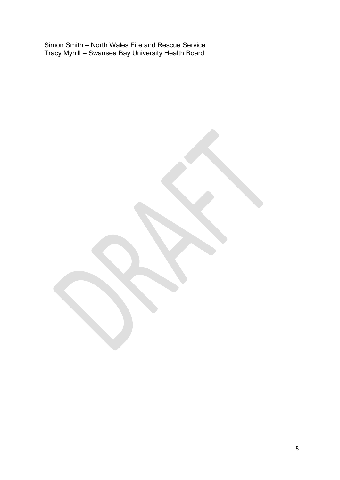Simon Smith – North Wales Fire and Rescue Service Tracy Myhill – Swansea Bay University Health Board